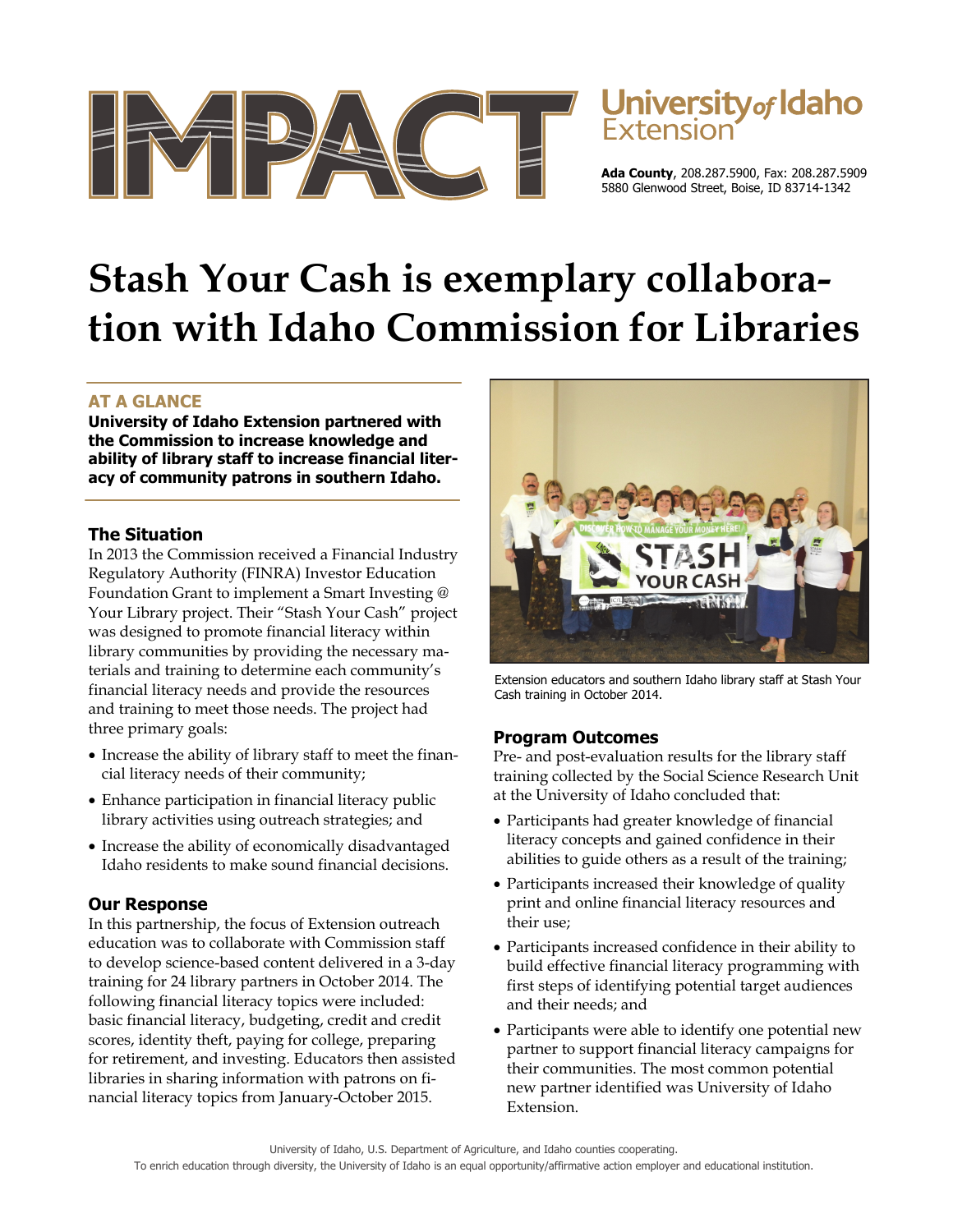



**Ada County**, 208.287.5900, Fax: 208.287.5909 5880 Glenwood Street, Boise, ID 83714-1342

# **Stash Your Cash is exemplary collaboration with Idaho Commission for Libraries**

## **AT A GLANCE**

**University of Idaho Extension partnered with the Commission to increase knowledge and ability of library staff to increase financial literacy of community patrons in southern Idaho.** 

#### **The Situation**

In 2013 the Commission received a Financial Industry Regulatory Authority (FINRA) Investor Education Foundation Grant to implement a Smart Investing @ Your Library project. Their "Stash Your Cash" project was designed to promote financial literacy within library communities by providing the necessary materials and training to determine each community's financial literacy needs and provide the resources and training to meet those needs. The project had three primary goals:

- Increase the ability of library staff to meet the financial literacy needs of their community;
- Enhance participation in financial literacy public library activities using outreach strategies; and
- Increase the ability of economically disadvantaged Idaho residents to make sound financial decisions.

## **Our Response**

In this partnership, the focus of Extension outreach education was to collaborate with Commission staff to develop science-based content delivered in a 3-day training for 24 library partners in October 2014. The following financial literacy topics were included: basic financial literacy, budgeting, credit and credit scores, identity theft, paying for college, preparing for retirement, and investing. Educators then assisted libraries in sharing information with patrons on financial literacy topics from January-October 2015.



Extension educators and southern Idaho library staff at Stash Your Cash training in October 2014.

#### **Program Outcomes**

Pre- and post-evaluation results for the library staff training collected by the Social Science Research Unit at the University of Idaho concluded that:

- Participants had greater knowledge of financial literacy concepts and gained confidence in their abilities to guide others as a result of the training;
- Participants increased their knowledge of quality print and online financial literacy resources and their use;
- Participants increased confidence in their ability to build effective financial literacy programming with first steps of identifying potential target audiences and their needs; and
- Participants were able to identify one potential new partner to support financial literacy campaigns for their communities. The most common potential new partner identified was University of Idaho Extension.

University of Idaho, U.S. Department of Agriculture, and Idaho counties cooperating. To enrich education through diversity, the University of Idaho is an equal opportunity/affirmative action employer and educational institution.